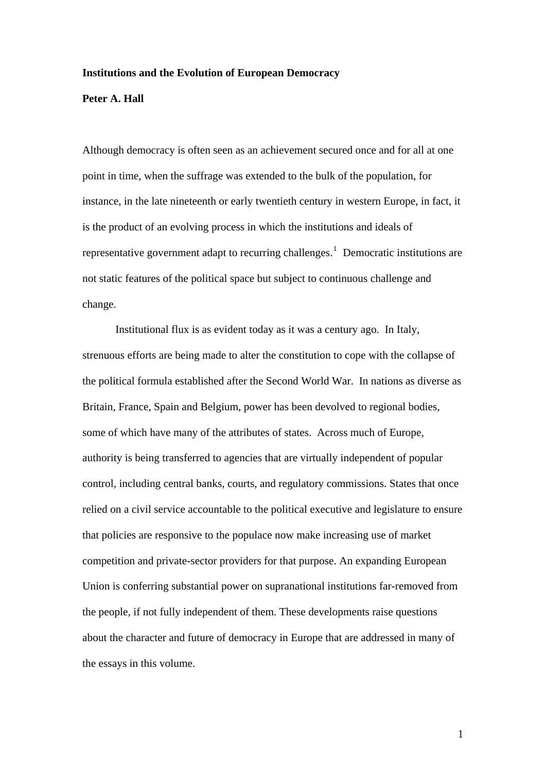### **Institutions and the Evolution of European Democracy**

## **Peter A. Hall**

Although democracy is often seen as an achievement secured once and for all at one point in time, when the suffrage was extended to the bulk of the population, for instance, in the late nineteenth or early twentieth century in western Europe, in fact, it is the product of an evolving process in which the institutions and ideals of representative government adapt to recurring challenges.<sup>[1](#page-33-0)</sup> Democratic institutions are not static features of the political space but subject to continuous challenge and change.

Institutional flux is as evident today as it was a century ago. In Italy, strenuous efforts are being made to alter the constitution to cope with the collapse of the political formula established after the Second World War. In nations as diverse as Britain, France, Spain and Belgium, power has been devolved to regional bodies, some of which have many of the attributes of states. Across much of Europe, authority is being transferred to agencies that are virtually independent of popular control, including central banks, courts, and regulatory commissions. States that once relied on a civil service accountable to the political executive and legislature to ensure that policies are responsive to the populace now make increasing use of market competition and private-sector providers for that purpose. An expanding European Union is conferring substantial power on supranational institutions far-removed from the people, if not fully independent of them. These developments raise questions about the character and future of democracy in Europe that are addressed in many of the essays in this volume.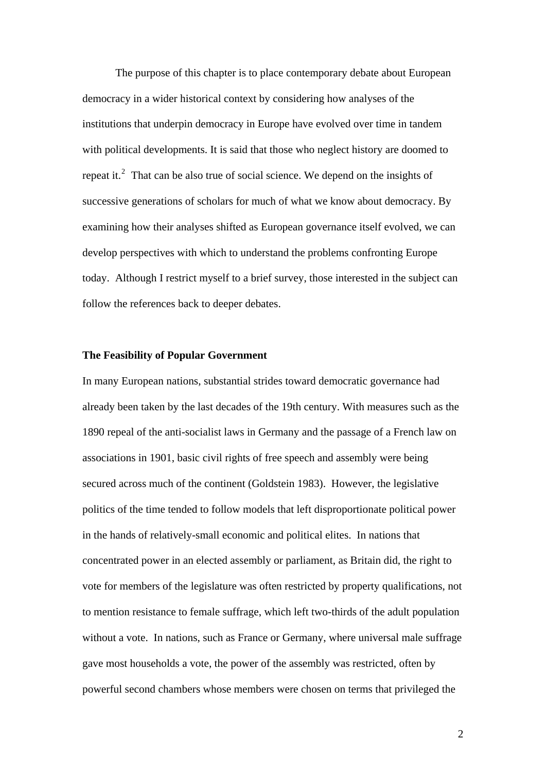The purpose of this chapter is to place contemporary debate about European democracy in a wider historical context by considering how analyses of the institutions that underpin democracy in Europe have evolved over time in tandem with political developments. It is said that those who neglect history are doomed to repeat it.<sup>[2](#page-33-1)</sup> That can be also true of social science. We depend on the insights of successive generations of scholars for much of what we know about democracy. By examining how their analyses shifted as European governance itself evolved, we can develop perspectives with which to understand the problems confronting Europe today. Although I restrict myself to a brief survey, those interested in the subject can follow the references back to deeper debates.

### **The Feasibility of Popular Government**

In many European nations, substantial strides toward democratic governance had already been taken by the last decades of the 19th century. With measures such as the 1890 repeal of the anti-socialist laws in Germany and the passage of a French law on associations in 1901, basic civil rights of free speech and assembly were being secured across much of the continent (Goldstein 1983). However, the legislative politics of the time tended to follow models that left disproportionate political power in the hands of relatively-small economic and political elites. In nations that concentrated power in an elected assembly or parliament, as Britain did, the right to vote for members of the legislature was often restricted by property qualifications, not to mention resistance to female suffrage, which left two-thirds of the adult population without a vote. In nations, such as France or Germany, where universal male suffrage gave most households a vote, the power of the assembly was restricted, often by powerful second chambers whose members were chosen on terms that privileged the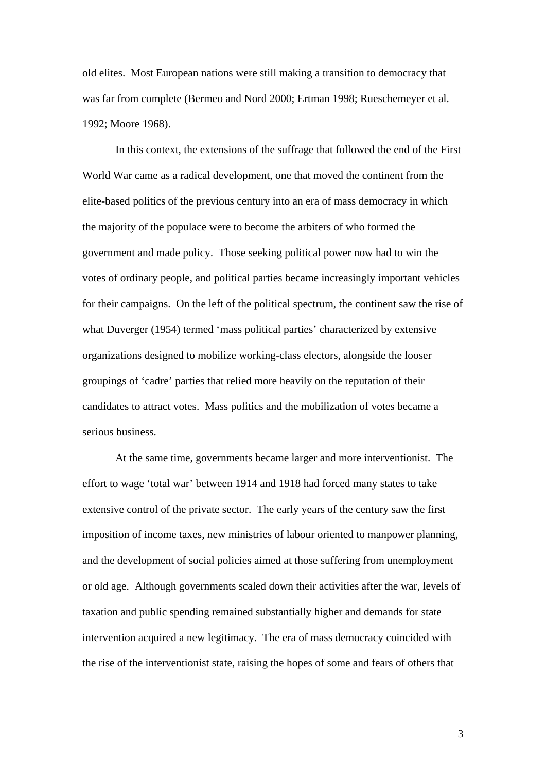old elites. Most European nations were still making a transition to democracy that was far from complete (Bermeo and Nord 2000; Ertman 1998; Rueschemeyer et al. 1992; Moore 1968).

 In this context, the extensions of the suffrage that followed the end of the First World War came as a radical development, one that moved the continent from the elite-based politics of the previous century into an era of mass democracy in which the majority of the populace were to become the arbiters of who formed the government and made policy. Those seeking political power now had to win the votes of ordinary people, and political parties became increasingly important vehicles for their campaigns. On the left of the political spectrum, the continent saw the rise of what Duverger (1954) termed 'mass political parties' characterized by extensive organizations designed to mobilize working-class electors, alongside the looser groupings of 'cadre' parties that relied more heavily on the reputation of their candidates to attract votes. Mass politics and the mobilization of votes became a serious business.

 At the same time, governments became larger and more interventionist. The effort to wage 'total war' between 1914 and 1918 had forced many states to take extensive control of the private sector. The early years of the century saw the first imposition of income taxes, new ministries of labour oriented to manpower planning, and the development of social policies aimed at those suffering from unemployment or old age. Although governments scaled down their activities after the war, levels of taxation and public spending remained substantially higher and demands for state intervention acquired a new legitimacy. The era of mass democracy coincided with the rise of the interventionist state, raising the hopes of some and fears of others that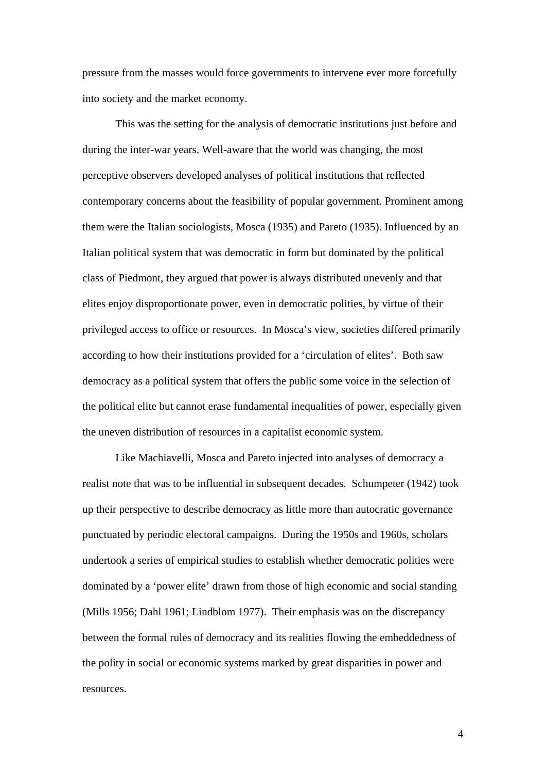pressure from the masses would force governments to intervene ever more forcefully into society and the market economy.

 This was the setting for the analysis of democratic institutions just before and during the inter-war years. Well-aware that the world was changing, the most perceptive observers developed analyses of political institutions that reflected contemporary concerns about the feasibility of popular government. Prominent among them were the Italian sociologists, Mosca (1935) and Pareto (1935). Influenced by an Italian political system that was democratic in form but dominated by the political class of Piedmont, they argued that power is always distributed unevenly and that elites enjoy disproportionate power, even in democratic polities, by virtue of their privileged access to office or resources. In Mosca's view, societies differed primarily according to how their institutions provided for a 'circulation of elites'. Both saw democracy as a political system that offers the public some voice in the selection of the political elite but cannot erase fundamental inequalities of power, especially given the uneven distribution of resources in a capitalist economic system.

 Like Machiavelli, Mosca and Pareto injected into analyses of democracy a realist note that was to be influential in subsequent decades. Schumpeter (1942) took up their perspective to describe democracy as little more than autocratic governance punctuated by periodic electoral campaigns. During the 1950s and 1960s, scholars undertook a series of empirical studies to establish whether democratic polities were dominated by a 'power elite' drawn from those of high economic and social standing (Mills 1956; Dahl 1961; Lindblom 1977). Their emphasis was on the discrepancy between the formal rules of democracy and its realities flowing the embeddedness of the polity in social or economic systems marked by great disparities in power and resources.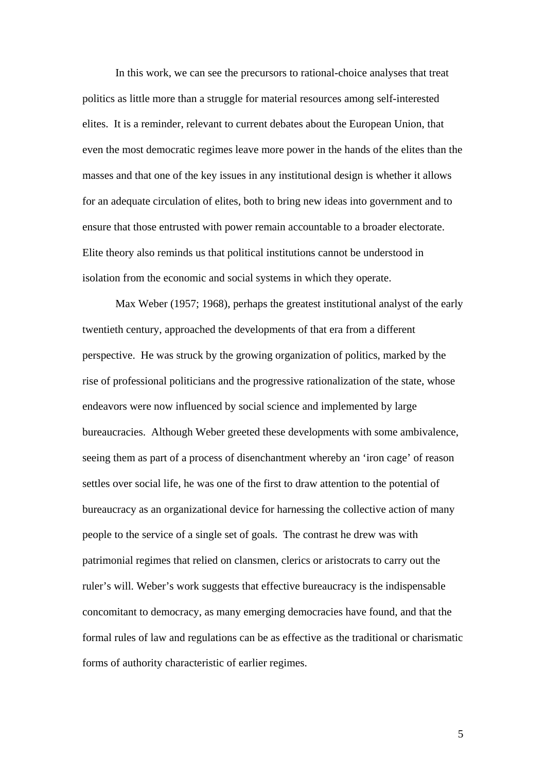In this work, we can see the precursors to rational-choice analyses that treat politics as little more than a struggle for material resources among self-interested elites. It is a reminder, relevant to current debates about the European Union, that even the most democratic regimes leave more power in the hands of the elites than the masses and that one of the key issues in any institutional design is whether it allows for an adequate circulation of elites, both to bring new ideas into government and to ensure that those entrusted with power remain accountable to a broader electorate. Elite theory also reminds us that political institutions cannot be understood in isolation from the economic and social systems in which they operate.

Max Weber (1957; 1968), perhaps the greatest institutional analyst of the early twentieth century, approached the developments of that era from a different perspective. He was struck by the growing organization of politics, marked by the rise of professional politicians and the progressive rationalization of the state, whose endeavors were now influenced by social science and implemented by large bureaucracies. Although Weber greeted these developments with some ambivalence, seeing them as part of a process of disenchantment whereby an 'iron cage' of reason settles over social life, he was one of the first to draw attention to the potential of bureaucracy as an organizational device for harnessing the collective action of many people to the service of a single set of goals. The contrast he drew was with patrimonial regimes that relied on clansmen, clerics or aristocrats to carry out the ruler's will. Weber's work suggests that effective bureaucracy is the indispensable concomitant to democracy, as many emerging democracies have found, and that the formal rules of law and regulations can be as effective as the traditional or charismatic forms of authority characteristic of earlier regimes.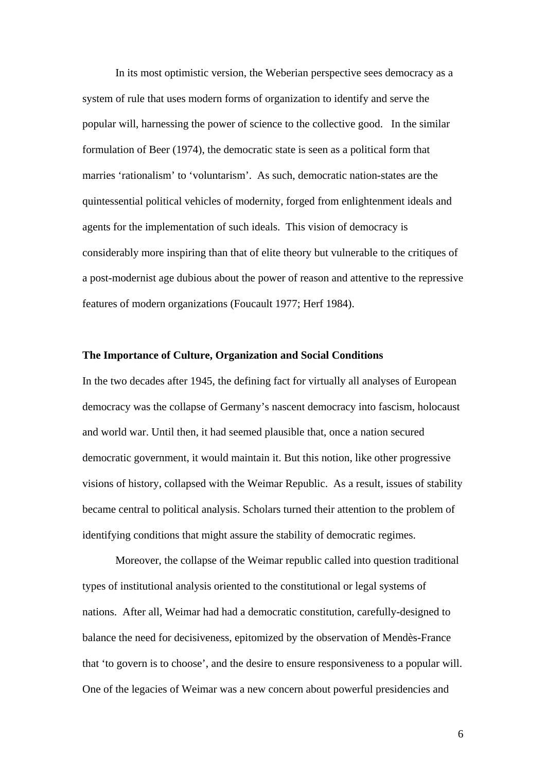In its most optimistic version, the Weberian perspective sees democracy as a system of rule that uses modern forms of organization to identify and serve the popular will, harnessing the power of science to the collective good. In the similar formulation of Beer (1974), the democratic state is seen as a political form that marries 'rationalism' to 'voluntarism'. As such, democratic nation-states are the quintessential political vehicles of modernity, forged from enlightenment ideals and agents for the implementation of such ideals. This vision of democracy is considerably more inspiring than that of elite theory but vulnerable to the critiques of a post-modernist age dubious about the power of reason and attentive to the repressive features of modern organizations (Foucault 1977; Herf 1984).

### **The Importance of Culture, Organization and Social Conditions**

In the two decades after 1945, the defining fact for virtually all analyses of European democracy was the collapse of Germany's nascent democracy into fascism, holocaust and world war. Until then, it had seemed plausible that, once a nation secured democratic government, it would maintain it. But this notion, like other progressive visions of history, collapsed with the Weimar Republic. As a result, issues of stability became central to political analysis. Scholars turned their attention to the problem of identifying conditions that might assure the stability of democratic regimes.

Moreover, the collapse of the Weimar republic called into question traditional types of institutional analysis oriented to the constitutional or legal systems of nations. After all, Weimar had had a democratic constitution, carefully-designed to balance the need for decisiveness, epitomized by the observation of Mendès-France that 'to govern is to choose', and the desire to ensure responsiveness to a popular will. One of the legacies of Weimar was a new concern about powerful presidencies and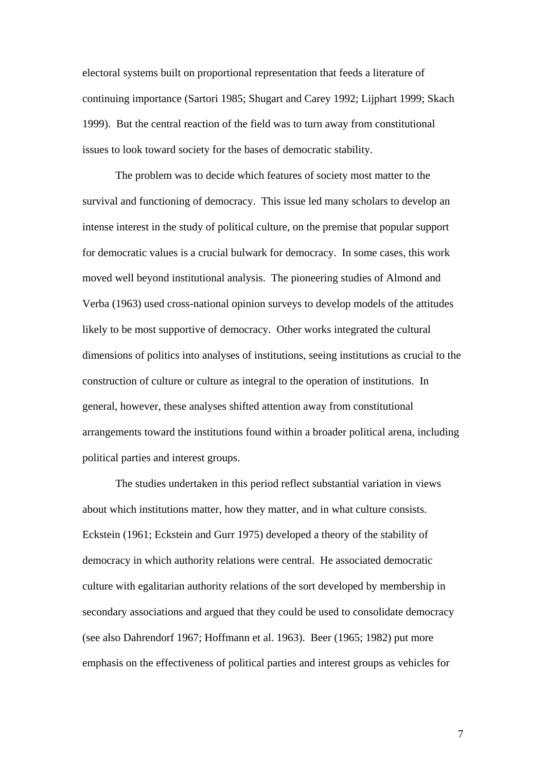electoral systems built on proportional representation that feeds a literature of continuing importance (Sartori 1985; Shugart and Carey 1992; Lijphart 1999; Skach 1999). But the central reaction of the field was to turn away from constitutional issues to look toward society for the bases of democratic stability.

The problem was to decide which features of society most matter to the survival and functioning of democracy. This issue led many scholars to develop an intense interest in the study of political culture, on the premise that popular support for democratic values is a crucial bulwark for democracy. In some cases, this work moved well beyond institutional analysis. The pioneering studies of Almond and Verba (1963) used cross-national opinion surveys to develop models of the attitudes likely to be most supportive of democracy. Other works integrated the cultural dimensions of politics into analyses of institutions, seeing institutions as crucial to the construction of culture or culture as integral to the operation of institutions. In general, however, these analyses shifted attention away from constitutional arrangements toward the institutions found within a broader political arena, including political parties and interest groups.

 The studies undertaken in this period reflect substantial variation in views about which institutions matter, how they matter, and in what culture consists. Eckstein (1961; Eckstein and Gurr 1975) developed a theory of the stability of democracy in which authority relations were central. He associated democratic culture with egalitarian authority relations of the sort developed by membership in secondary associations and argued that they could be used to consolidate democracy (see also Dahrendorf 1967; Hoffmann et al. 1963). Beer (1965; 1982) put more emphasis on the effectiveness of political parties and interest groups as vehicles for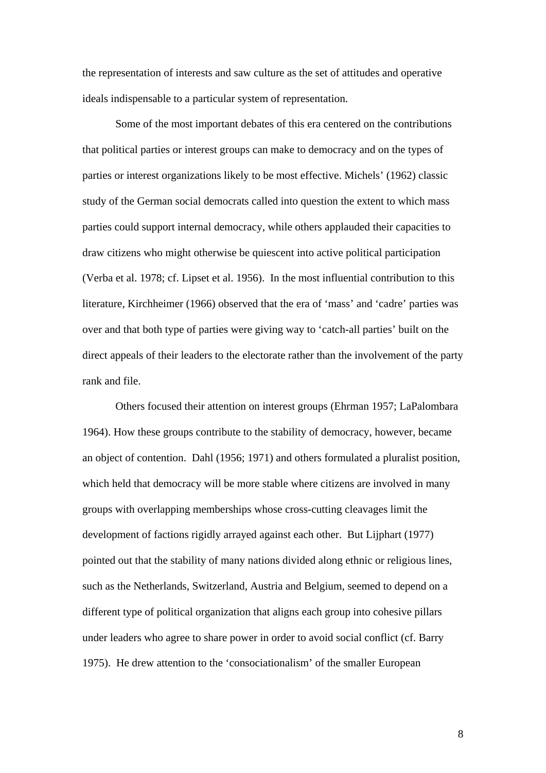the representation of interests and saw culture as the set of attitudes and operative ideals indispensable to a particular system of representation.

 Some of the most important debates of this era centered on the contributions that political parties or interest groups can make to democracy and on the types of parties or interest organizations likely to be most effective. Michels' (1962) classic study of the German social democrats called into question the extent to which mass parties could support internal democracy, while others applauded their capacities to draw citizens who might otherwise be quiescent into active political participation (Verba et al. 1978; cf. Lipset et al. 1956). In the most influential contribution to this literature, Kirchheimer (1966) observed that the era of 'mass' and 'cadre' parties was over and that both type of parties were giving way to 'catch-all parties' built on the direct appeals of their leaders to the electorate rather than the involvement of the party rank and file.

Others focused their attention on interest groups (Ehrman 1957; LaPalombara 1964). How these groups contribute to the stability of democracy, however, became an object of contention. Dahl (1956; 1971) and others formulated a pluralist position, which held that democracy will be more stable where citizens are involved in many groups with overlapping memberships whose cross-cutting cleavages limit the development of factions rigidly arrayed against each other. But Lijphart (1977) pointed out that the stability of many nations divided along ethnic or religious lines, such as the Netherlands, Switzerland, Austria and Belgium, seemed to depend on a different type of political organization that aligns each group into cohesive pillars under leaders who agree to share power in order to avoid social conflict (cf. Barry 1975). He drew attention to the 'consociationalism' of the smaller European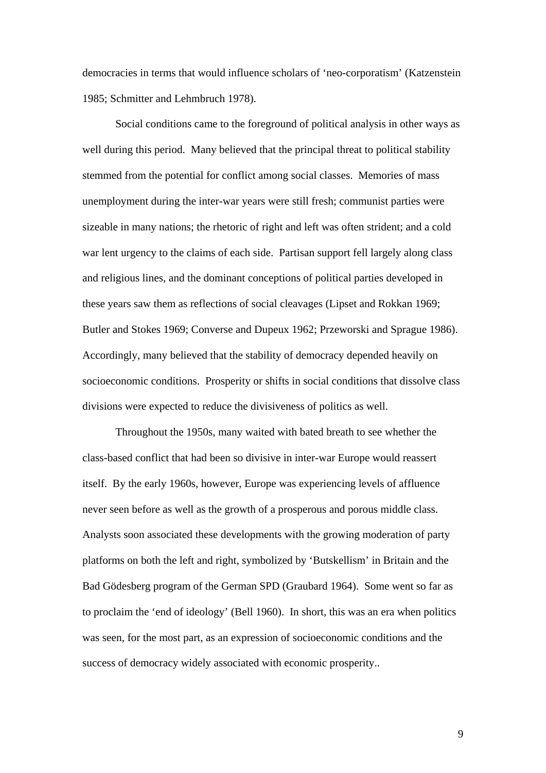democracies in terms that would influence scholars of 'neo-corporatism' (Katzenstein 1985; Schmitter and Lehmbruch 1978).

Social conditions came to the foreground of political analysis in other ways as well during this period. Many believed that the principal threat to political stability stemmed from the potential for conflict among social classes. Memories of mass unemployment during the inter-war years were still fresh; communist parties were sizeable in many nations; the rhetoric of right and left was often strident; and a cold war lent urgency to the claims of each side. Partisan support fell largely along class and religious lines, and the dominant conceptions of political parties developed in these years saw them as reflections of social cleavages (Lipset and Rokkan 1969; Butler and Stokes 1969; Converse and Dupeux 1962; Przeworski and Sprague 1986). Accordingly, many believed that the stability of democracy depended heavily on socioeconomic conditions. Prosperity or shifts in social conditions that dissolve class divisions were expected to reduce the divisiveness of politics as well.

Throughout the 1950s, many waited with bated breath to see whether the class-based conflict that had been so divisive in inter-war Europe would reassert itself. By the early 1960s, however, Europe was experiencing levels of affluence never seen before as well as the growth of a prosperous and porous middle class. Analysts soon associated these developments with the growing moderation of party platforms on both the left and right, symbolized by 'Butskellism' in Britain and the Bad Gödesberg program of the German SPD (Graubard 1964). Some went so far as to proclaim the 'end of ideology' (Bell 1960). In short, this was an era when politics was seen, for the most part, as an expression of socioeconomic conditions and the success of democracy widely associated with economic prosperity..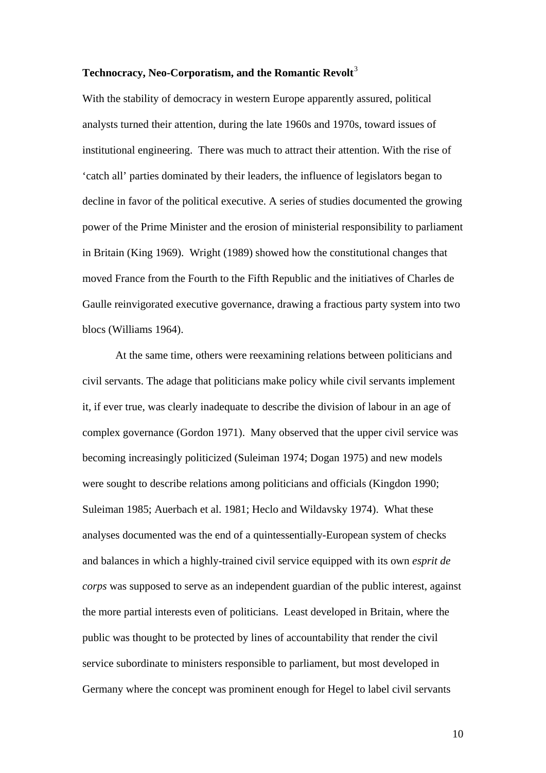# **Technocracy, Neo-Corporatism, and the Romantic Revolt**[3](#page-33-2)

With the stability of democracy in western Europe apparently assured, political analysts turned their attention, during the late 1960s and 1970s, toward issues of institutional engineering. There was much to attract their attention. With the rise of 'catch all' parties dominated by their leaders, the influence of legislators began to decline in favor of the political executive. A series of studies documented the growing power of the Prime Minister and the erosion of ministerial responsibility to parliament in Britain (King 1969). Wright (1989) showed how the constitutional changes that moved France from the Fourth to the Fifth Republic and the initiatives of Charles de Gaulle reinvigorated executive governance, drawing a fractious party system into two blocs (Williams 1964).

 At the same time, others were reexamining relations between politicians and civil servants. The adage that politicians make policy while civil servants implement it, if ever true, was clearly inadequate to describe the division of labour in an age of complex governance (Gordon 1971). Many observed that the upper civil service was becoming increasingly politicized (Suleiman 1974; Dogan 1975) and new models were sought to describe relations among politicians and officials (Kingdon 1990; Suleiman 1985; Auerbach et al. 1981; Heclo and Wildavsky 1974). What these analyses documented was the end of a quintessentially-European system of checks and balances in which a highly-trained civil service equipped with its own *esprit de corps* was supposed to serve as an independent guardian of the public interest, against the more partial interests even of politicians. Least developed in Britain, where the public was thought to be protected by lines of accountability that render the civil service subordinate to ministers responsible to parliament, but most developed in Germany where the concept was prominent enough for Hegel to label civil servants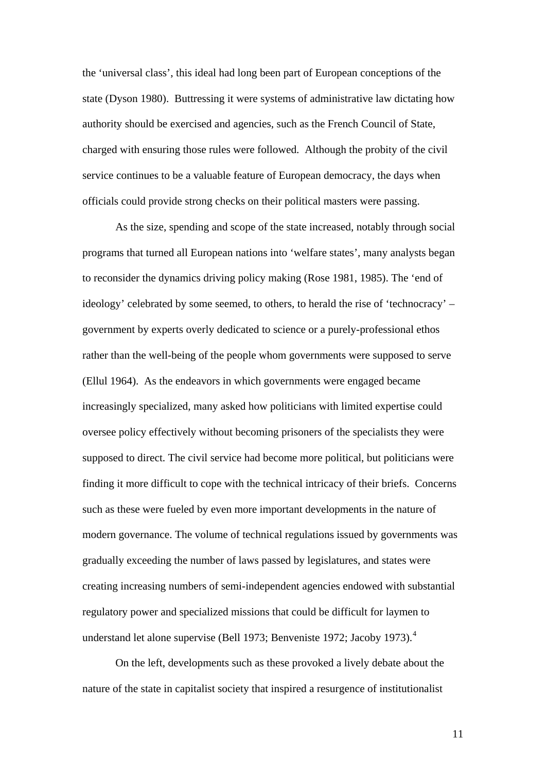the 'universal class', this ideal had long been part of European conceptions of the state (Dyson 1980). Buttressing it were systems of administrative law dictating how authority should be exercised and agencies, such as the French Council of State, charged with ensuring those rules were followed. Although the probity of the civil service continues to be a valuable feature of European democracy, the days when officials could provide strong checks on their political masters were passing.

As the size, spending and scope of the state increased, notably through social programs that turned all European nations into 'welfare states', many analysts began to reconsider the dynamics driving policy making (Rose 1981, 1985). The 'end of ideology' celebrated by some seemed, to others, to herald the rise of 'technocracy' – government by experts overly dedicated to science or a purely-professional ethos rather than the well-being of the people whom governments were supposed to serve (Ellul 1964). As the endeavors in which governments were engaged became increasingly specialized, many asked how politicians with limited expertise could oversee policy effectively without becoming prisoners of the specialists they were supposed to direct. The civil service had become more political, but politicians were finding it more difficult to cope with the technical intricacy of their briefs. Concerns such as these were fueled by even more important developments in the nature of modern governance. The volume of technical regulations issued by governments was gradually exceeding the number of laws passed by legislatures, and states were creating increasing numbers of semi-independent agencies endowed with substantial regulatory power and specialized missions that could be difficult for laymen to understand let alone supervise (Bell 1973; Benveniste 1972; Jacoby 1973).<sup>[4](#page-33-3)</sup>

On the left, developments such as these provoked a lively debate about the nature of the state in capitalist society that inspired a resurgence of institutionalist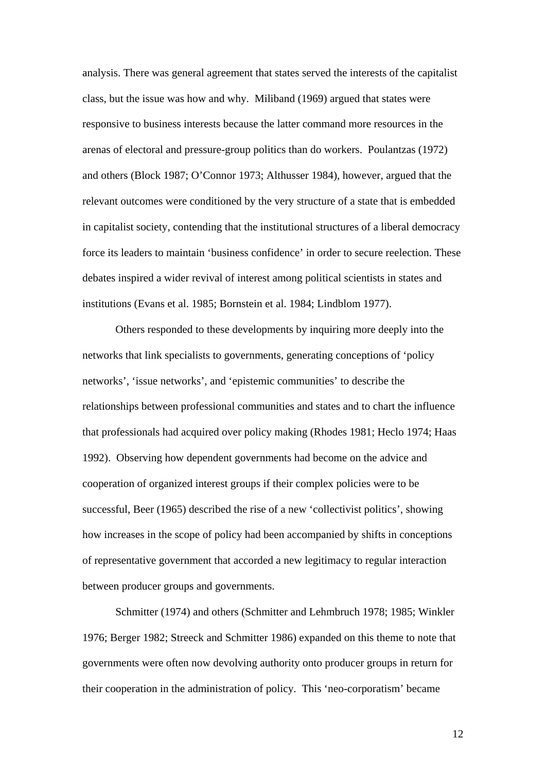analysis. There was general agreement that states served the interests of the capitalist class, but the issue was how and why. Miliband (1969) argued that states were responsive to business interests because the latter command more resources in the arenas of electoral and pressure-group politics than do workers. Poulantzas (1972) and others (Block 1987; O'Connor 1973; Althusser 1984), however, argued that the relevant outcomes were conditioned by the very structure of a state that is embedded in capitalist society, contending that the institutional structures of a liberal democracy force its leaders to maintain 'business confidence' in order to secure reelection. These debates inspired a wider revival of interest among political scientists in states and institutions (Evans et al. 1985; Bornstein et al. 1984; Lindblom 1977).

Others responded to these developments by inquiring more deeply into the networks that link specialists to governments, generating conceptions of 'policy networks', 'issue networks', and 'epistemic communities' to describe the relationships between professional communities and states and to chart the influence that professionals had acquired over policy making (Rhodes 1981; Heclo 1974; Haas 1992). Observing how dependent governments had become on the advice and cooperation of organized interest groups if their complex policies were to be successful, Beer (1965) described the rise of a new 'collectivist politics', showing how increases in the scope of policy had been accompanied by shifts in conceptions of representative government that accorded a new legitimacy to regular interaction between producer groups and governments.

Schmitter (1974) and others (Schmitter and Lehmbruch 1978; 1985; Winkler 1976; Berger 1982; Streeck and Schmitter 1986) expanded on this theme to note that governments were often now devolving authority onto producer groups in return for their cooperation in the administration of policy. This 'neo-corporatism' became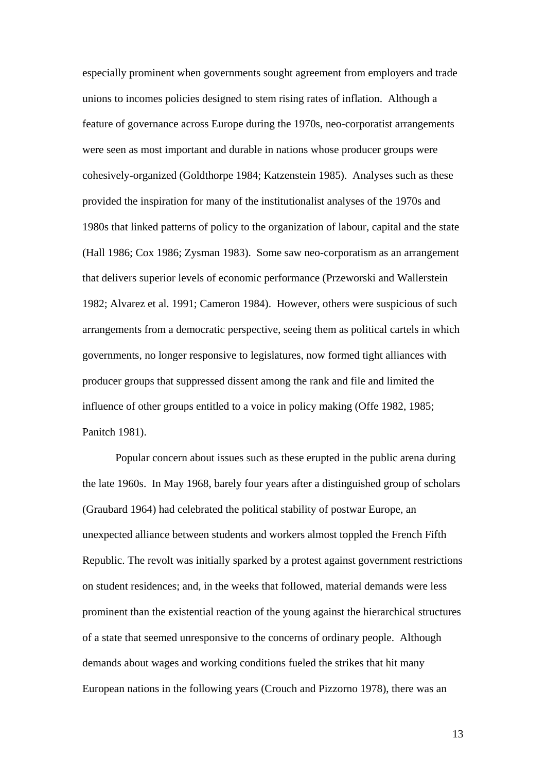especially prominent when governments sought agreement from employers and trade unions to incomes policies designed to stem rising rates of inflation. Although a feature of governance across Europe during the 1970s, neo-corporatist arrangements were seen as most important and durable in nations whose producer groups were cohesively-organized (Goldthorpe 1984; Katzenstein 1985). Analyses such as these provided the inspiration for many of the institutionalist analyses of the 1970s and 1980s that linked patterns of policy to the organization of labour, capital and the state (Hall 1986; Cox 1986; Zysman 1983). Some saw neo-corporatism as an arrangement that delivers superior levels of economic performance (Przeworski and Wallerstein 1982; Alvarez et al. 1991; Cameron 1984). However, others were suspicious of such arrangements from a democratic perspective, seeing them as political cartels in which governments, no longer responsive to legislatures, now formed tight alliances with producer groups that suppressed dissent among the rank and file and limited the influence of other groups entitled to a voice in policy making (Offe 1982, 1985; Panitch 1981).

Popular concern about issues such as these erupted in the public arena during the late 1960s. In May 1968, barely four years after a distinguished group of scholars (Graubard 1964) had celebrated the political stability of postwar Europe, an unexpected alliance between students and workers almost toppled the French Fifth Republic. The revolt was initially sparked by a protest against government restrictions on student residences; and, in the weeks that followed, material demands were less prominent than the existential reaction of the young against the hierarchical structures of a state that seemed unresponsive to the concerns of ordinary people. Although demands about wages and working conditions fueled the strikes that hit many European nations in the following years (Crouch and Pizzorno 1978), there was an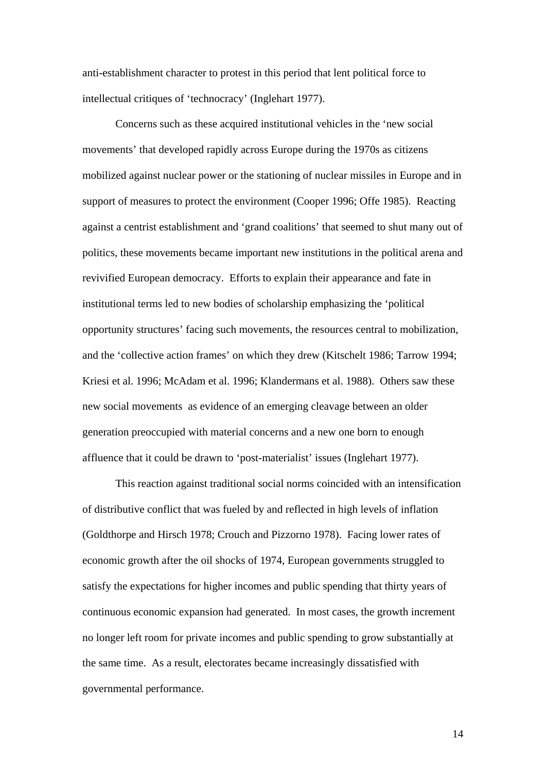anti-establishment character to protest in this period that lent political force to intellectual critiques of 'technocracy' (Inglehart 1977).

Concerns such as these acquired institutional vehicles in the 'new social movements' that developed rapidly across Europe during the 1970s as citizens mobilized against nuclear power or the stationing of nuclear missiles in Europe and in support of measures to protect the environment (Cooper 1996; Offe 1985). Reacting against a centrist establishment and 'grand coalitions' that seemed to shut many out of politics, these movements became important new institutions in the political arena and revivified European democracy. Efforts to explain their appearance and fate in institutional terms led to new bodies of scholarship emphasizing the 'political opportunity structures' facing such movements, the resources central to mobilization, and the 'collective action frames' on which they drew (Kitschelt 1986; Tarrow 1994; Kriesi et al. 1996; McAdam et al. 1996; Klandermans et al. 1988). Others saw these new social movements as evidence of an emerging cleavage between an older generation preoccupied with material concerns and a new one born to enough affluence that it could be drawn to 'post-materialist' issues (Inglehart 1977).

This reaction against traditional social norms coincided with an intensification of distributive conflict that was fueled by and reflected in high levels of inflation (Goldthorpe and Hirsch 1978; Crouch and Pizzorno 1978). Facing lower rates of economic growth after the oil shocks of 1974, European governments struggled to satisfy the expectations for higher incomes and public spending that thirty years of continuous economic expansion had generated. In most cases, the growth increment no longer left room for private incomes and public spending to grow substantially at the same time. As a result, electorates became increasingly dissatisfied with governmental performance.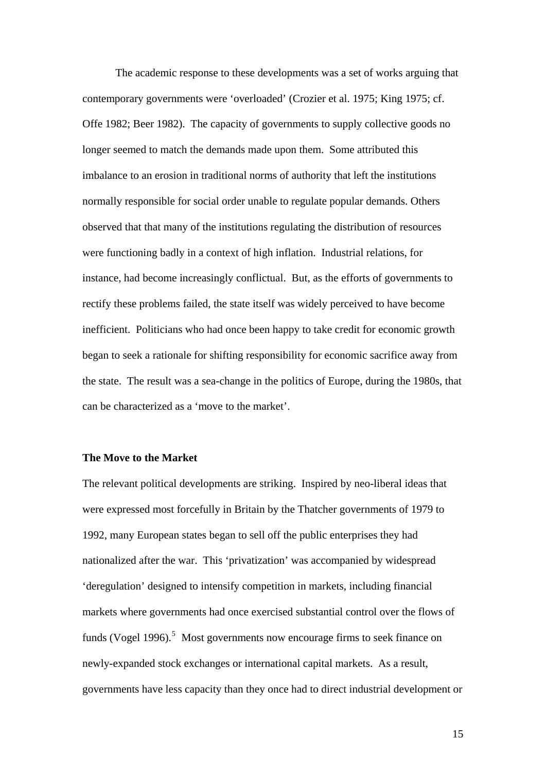The academic response to these developments was a set of works arguing that contemporary governments were 'overloaded' (Crozier et al. 1975; King 1975; cf. Offe 1982; Beer 1982). The capacity of governments to supply collective goods no longer seemed to match the demands made upon them. Some attributed this imbalance to an erosion in traditional norms of authority that left the institutions normally responsible for social order unable to regulate popular demands. Others observed that that many of the institutions regulating the distribution of resources were functioning badly in a context of high inflation. Industrial relations, for instance, had become increasingly conflictual. But, as the efforts of governments to rectify these problems failed, the state itself was widely perceived to have become inefficient. Politicians who had once been happy to take credit for economic growth began to seek a rationale for shifting responsibility for economic sacrifice away from the state. The result was a sea-change in the politics of Europe, during the 1980s, that can be characterized as a 'move to the market'.

## **The Move to the Market**

The relevant political developments are striking. Inspired by neo-liberal ideas that were expressed most forcefully in Britain by the Thatcher governments of 1979 to 1992, many European states began to sell off the public enterprises they had nationalized after the war. This 'privatization' was accompanied by widespread 'deregulation' designed to intensify competition in markets, including financial markets where governments had once exercised substantial control over the flows of funds (Vogel 1996).<sup>[5](#page-33-4)</sup> Most governments now encourage firms to seek finance on newly-expanded stock exchanges or international capital markets. As a result, governments have less capacity than they once had to direct industrial development or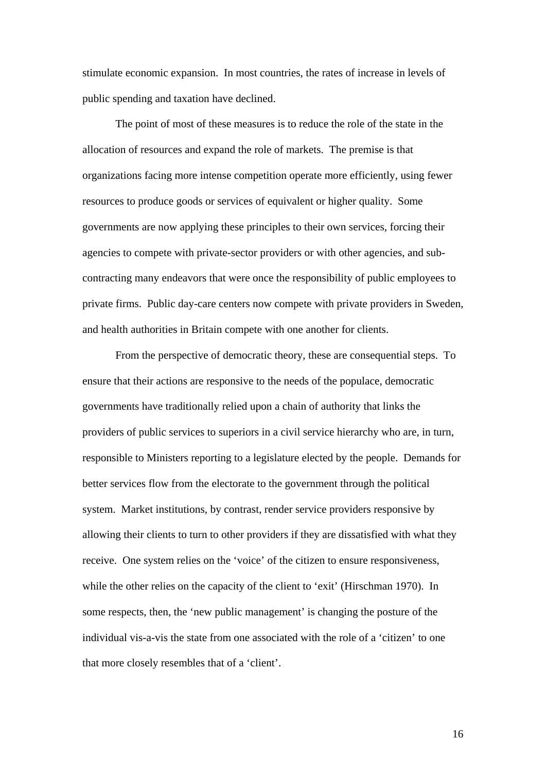stimulate economic expansion. In most countries, the rates of increase in levels of public spending and taxation have declined.

 The point of most of these measures is to reduce the role of the state in the allocation of resources and expand the role of markets. The premise is that organizations facing more intense competition operate more efficiently, using fewer resources to produce goods or services of equivalent or higher quality. Some governments are now applying these principles to their own services, forcing their agencies to compete with private-sector providers or with other agencies, and subcontracting many endeavors that were once the responsibility of public employees to private firms. Public day-care centers now compete with private providers in Sweden, and health authorities in Britain compete with one another for clients.

From the perspective of democratic theory, these are consequential steps. To ensure that their actions are responsive to the needs of the populace, democratic governments have traditionally relied upon a chain of authority that links the providers of public services to superiors in a civil service hierarchy who are, in turn, responsible to Ministers reporting to a legislature elected by the people. Demands for better services flow from the electorate to the government through the political system. Market institutions, by contrast, render service providers responsive by allowing their clients to turn to other providers if they are dissatisfied with what they receive. One system relies on the 'voice' of the citizen to ensure responsiveness, while the other relies on the capacity of the client to 'exit' (Hirschman 1970). In some respects, then, the 'new public management' is changing the posture of the individual vis-a-vis the state from one associated with the role of a 'citizen' to one that more closely resembles that of a 'client'.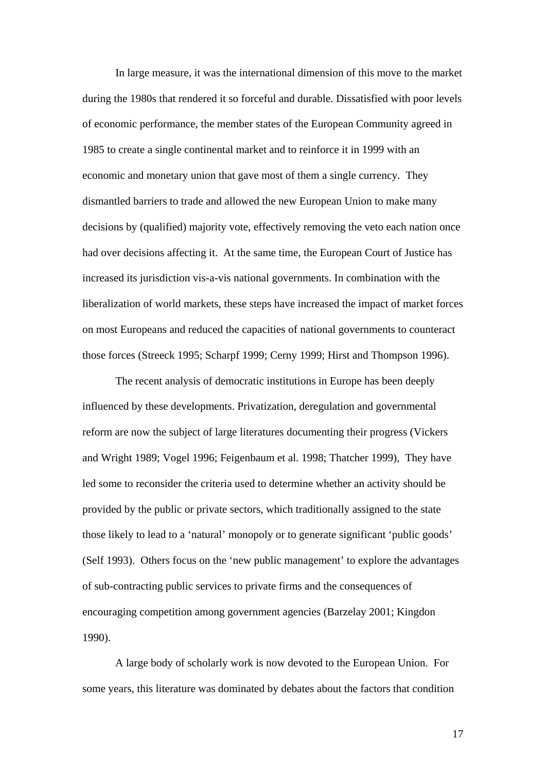In large measure, it was the international dimension of this move to the market during the 1980s that rendered it so forceful and durable. Dissatisfied with poor levels of economic performance, the member states of the European Community agreed in 1985 to create a single continental market and to reinforce it in 1999 with an economic and monetary union that gave most of them a single currency. They dismantled barriers to trade and allowed the new European Union to make many decisions by (qualified) majority vote, effectively removing the veto each nation once had over decisions affecting it. At the same time, the European Court of Justice has increased its jurisdiction vis-a-vis national governments. In combination with the liberalization of world markets, these steps have increased the impact of market forces on most Europeans and reduced the capacities of national governments to counteract those forces (Streeck 1995; Scharpf 1999; Cerny 1999; Hirst and Thompson 1996).

 The recent analysis of democratic institutions in Europe has been deeply influenced by these developments. Privatization, deregulation and governmental reform are now the subject of large literatures documenting their progress (Vickers and Wright 1989; Vogel 1996; Feigenbaum et al. 1998; Thatcher 1999), They have led some to reconsider the criteria used to determine whether an activity should be provided by the public or private sectors, which traditionally assigned to the state those likely to lead to a 'natural' monopoly or to generate significant 'public goods' (Self 1993). Others focus on the 'new public management' to explore the advantages of sub-contracting public services to private firms and the consequences of encouraging competition among government agencies (Barzelay 2001; Kingdon 1990).

 A large body of scholarly work is now devoted to the European Union. For some years, this literature was dominated by debates about the factors that condition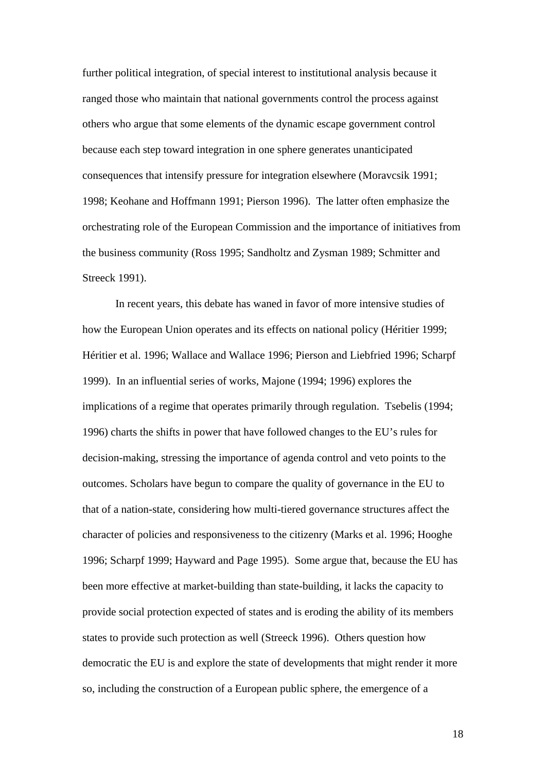further political integration, of special interest to institutional analysis because it ranged those who maintain that national governments control the process against others who argue that some elements of the dynamic escape government control because each step toward integration in one sphere generates unanticipated consequences that intensify pressure for integration elsewhere (Moravcsik 1991; 1998; Keohane and Hoffmann 1991; Pierson 1996). The latter often emphasize the orchestrating role of the European Commission and the importance of initiatives from the business community (Ross 1995; Sandholtz and Zysman 1989; Schmitter and Streeck 1991).

 In recent years, this debate has waned in favor of more intensive studies of how the European Union operates and its effects on national policy (Héritier 1999; Héritier et al. 1996; Wallace and Wallace 1996; Pierson and Liebfried 1996; Scharpf 1999). In an influential series of works, Majone (1994; 1996) explores the implications of a regime that operates primarily through regulation. Tsebelis (1994; 1996) charts the shifts in power that have followed changes to the EU's rules for decision-making, stressing the importance of agenda control and veto points to the outcomes. Scholars have begun to compare the quality of governance in the EU to that of a nation-state, considering how multi-tiered governance structures affect the character of policies and responsiveness to the citizenry (Marks et al. 1996; Hooghe 1996; Scharpf 1999; Hayward and Page 1995). Some argue that, because the EU has been more effective at market-building than state-building, it lacks the capacity to provide social protection expected of states and is eroding the ability of its members states to provide such protection as well (Streeck 1996). Others question how democratic the EU is and explore the state of developments that might render it more so, including the construction of a European public sphere, the emergence of a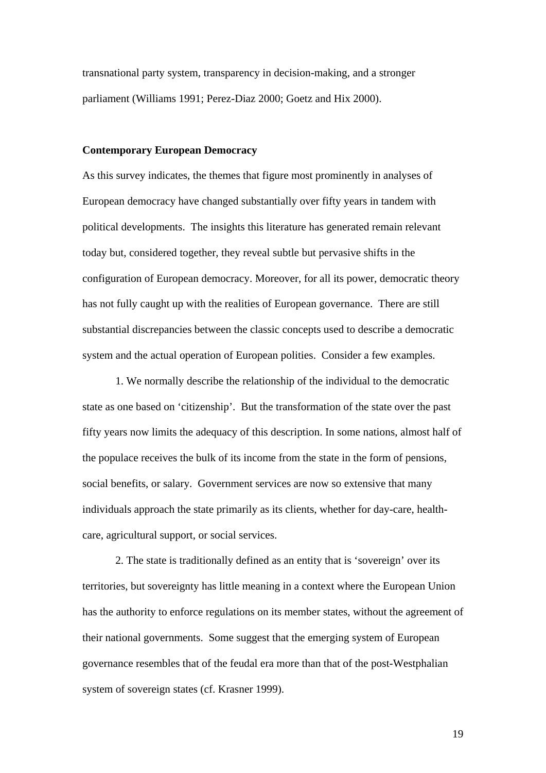transnational party system, transparency in decision-making, and a stronger parliament (Williams 1991; Perez-Diaz 2000; Goetz and Hix 2000).

### **Contemporary European Democracy**

As this survey indicates, the themes that figure most prominently in analyses of European democracy have changed substantially over fifty years in tandem with political developments. The insights this literature has generated remain relevant today but, considered together, they reveal subtle but pervasive shifts in the configuration of European democracy. Moreover, for all its power, democratic theory has not fully caught up with the realities of European governance. There are still substantial discrepancies between the classic concepts used to describe a democratic system and the actual operation of European polities. Consider a few examples.

1. We normally describe the relationship of the individual to the democratic state as one based on 'citizenship'. But the transformation of the state over the past fifty years now limits the adequacy of this description. In some nations, almost half of the populace receives the bulk of its income from the state in the form of pensions, social benefits, or salary. Government services are now so extensive that many individuals approach the state primarily as its clients, whether for day-care, healthcare, agricultural support, or social services.

2. The state is traditionally defined as an entity that is 'sovereign' over its territories, but sovereignty has little meaning in a context where the European Union has the authority to enforce regulations on its member states, without the agreement of their national governments. Some suggest that the emerging system of European governance resembles that of the feudal era more than that of the post-Westphalian system of sovereign states (cf. Krasner 1999).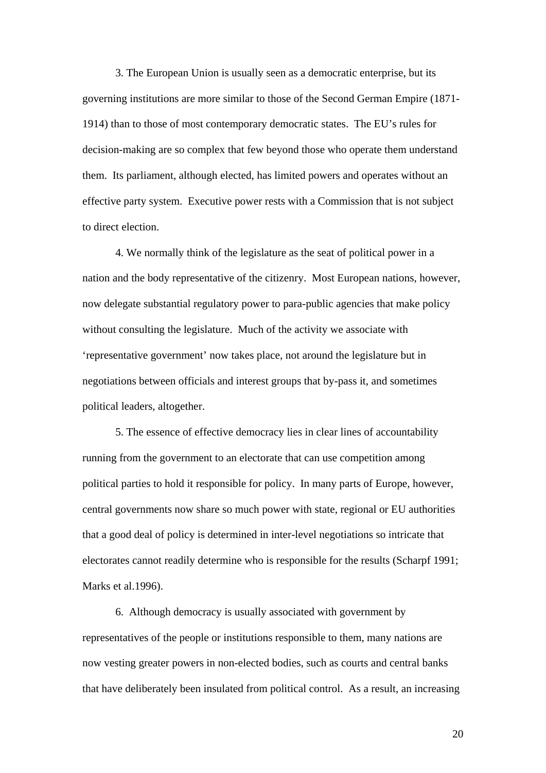3. The European Union is usually seen as a democratic enterprise, but its governing institutions are more similar to those of the Second German Empire (1871- 1914) than to those of most contemporary democratic states. The EU's rules for decision-making are so complex that few beyond those who operate them understand them. Its parliament, although elected, has limited powers and operates without an effective party system. Executive power rests with a Commission that is not subject to direct election.

4. We normally think of the legislature as the seat of political power in a nation and the body representative of the citizenry. Most European nations, however, now delegate substantial regulatory power to para-public agencies that make policy without consulting the legislature. Much of the activity we associate with 'representative government' now takes place, not around the legislature but in negotiations between officials and interest groups that by-pass it, and sometimes political leaders, altogether.

5. The essence of effective democracy lies in clear lines of accountability running from the government to an electorate that can use competition among political parties to hold it responsible for policy. In many parts of Europe, however, central governments now share so much power with state, regional or EU authorities that a good deal of policy is determined in inter-level negotiations so intricate that electorates cannot readily determine who is responsible for the results (Scharpf 1991; Marks et al.1996).

6. Although democracy is usually associated with government by representatives of the people or institutions responsible to them, many nations are now vesting greater powers in non-elected bodies, such as courts and central banks that have deliberately been insulated from political control. As a result, an increasing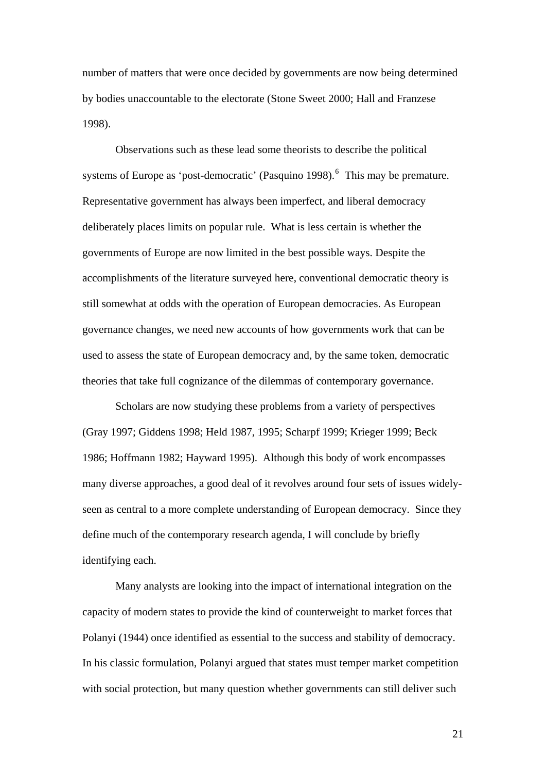number of matters that were once decided by governments are now being determined by bodies unaccountable to the electorate (Stone Sweet 2000; Hall and Franzese 1998).

Observations such as these lead some theorists to describe the political systems of Europe as 'post-democratic' (Pasquino 1998). <sup>[6](#page-33-5)</sup> This may be premature. Representative government has always been imperfect, and liberal democracy deliberately places limits on popular rule. What is less certain is whether the governments of Europe are now limited in the best possible ways. Despite the accomplishments of the literature surveyed here, conventional democratic theory is still somewhat at odds with the operation of European democracies. As European governance changes, we need new accounts of how governments work that can be used to assess the state of European democracy and, by the same token, democratic theories that take full cognizance of the dilemmas of contemporary governance.

Scholars are now studying these problems from a variety of perspectives (Gray 1997; Giddens 1998; Held 1987, 1995; Scharpf 1999; Krieger 1999; Beck 1986; Hoffmann 1982; Hayward 1995). Although this body of work encompasses many diverse approaches, a good deal of it revolves around four sets of issues widelyseen as central to a more complete understanding of European democracy. Since they define much of the contemporary research agenda, I will conclude by briefly identifying each.

Many analysts are looking into the impact of international integration on the capacity of modern states to provide the kind of counterweight to market forces that Polanyi (1944) once identified as essential to the success and stability of democracy. In his classic formulation, Polanyi argued that states must temper market competition with social protection, but many question whether governments can still deliver such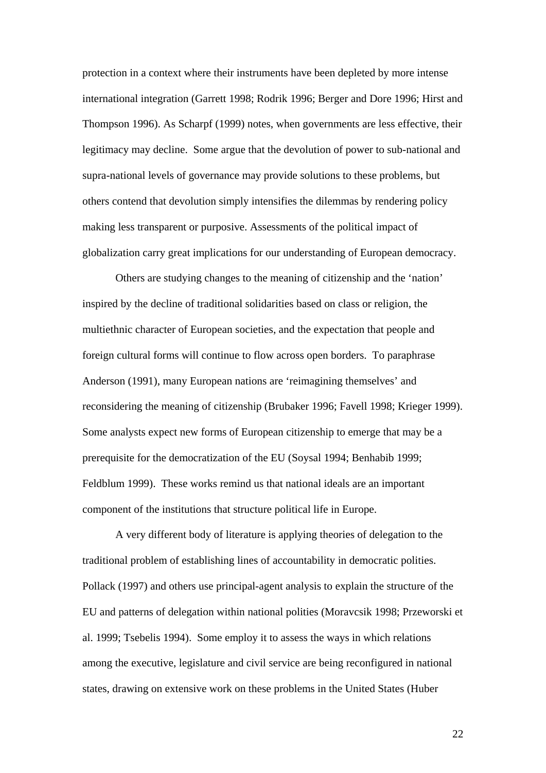protection in a context where their instruments have been depleted by more intense international integration (Garrett 1998; Rodrik 1996; Berger and Dore 1996; Hirst and Thompson 1996). As Scharpf (1999) notes, when governments are less effective, their legitimacy may decline. Some argue that the devolution of power to sub-national and supra-national levels of governance may provide solutions to these problems, but others contend that devolution simply intensifies the dilemmas by rendering policy making less transparent or purposive. Assessments of the political impact of globalization carry great implications for our understanding of European democracy.

Others are studying changes to the meaning of citizenship and the 'nation' inspired by the decline of traditional solidarities based on class or religion, the multiethnic character of European societies, and the expectation that people and foreign cultural forms will continue to flow across open borders. To paraphrase Anderson (1991), many European nations are 'reimagining themselves' and reconsidering the meaning of citizenship (Brubaker 1996; Favell 1998; Krieger 1999). Some analysts expect new forms of European citizenship to emerge that may be a prerequisite for the democratization of the EU (Soysal 1994; Benhabib 1999; Feldblum 1999). These works remind us that national ideals are an important component of the institutions that structure political life in Europe.

A very different body of literature is applying theories of delegation to the traditional problem of establishing lines of accountability in democratic polities. Pollack (1997) and others use principal-agent analysis to explain the structure of the EU and patterns of delegation within national polities (Moravcsik 1998; Przeworski et al. 1999; Tsebelis 1994). Some employ it to assess the ways in which relations among the executive, legislature and civil service are being reconfigured in national states, drawing on extensive work on these problems in the United States (Huber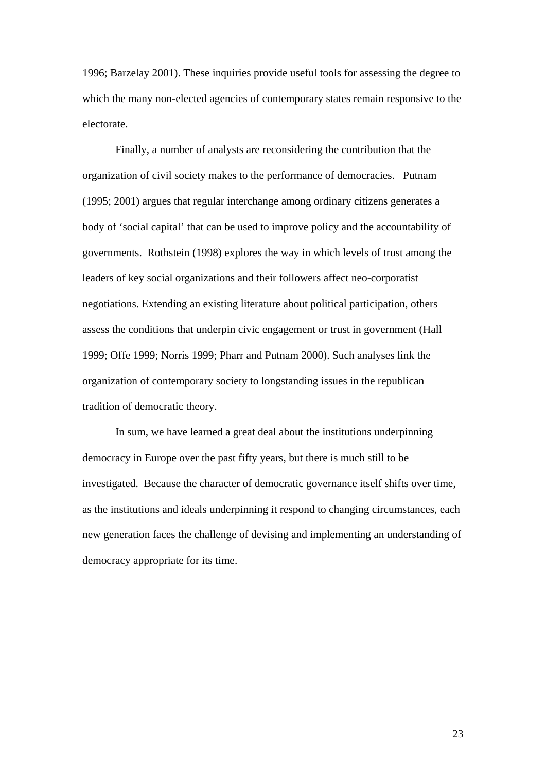1996; Barzelay 2001). These inquiries provide useful tools for assessing the degree to which the many non-elected agencies of contemporary states remain responsive to the electorate.

Finally, a number of analysts are reconsidering the contribution that the organization of civil society makes to the performance of democracies. Putnam (1995; 2001) argues that regular interchange among ordinary citizens generates a body of 'social capital' that can be used to improve policy and the accountability of governments. Rothstein (1998) explores the way in which levels of trust among the leaders of key social organizations and their followers affect neo-corporatist negotiations. Extending an existing literature about political participation, others assess the conditions that underpin civic engagement or trust in government (Hall 1999; Offe 1999; Norris 1999; Pharr and Putnam 2000). Such analyses link the organization of contemporary society to longstanding issues in the republican tradition of democratic theory.

In sum, we have learned a great deal about the institutions underpinning democracy in Europe over the past fifty years, but there is much still to be investigated. Because the character of democratic governance itself shifts over time, as the institutions and ideals underpinning it respond to changing circumstances, each new generation faces the challenge of devising and implementing an understanding of democracy appropriate for its time.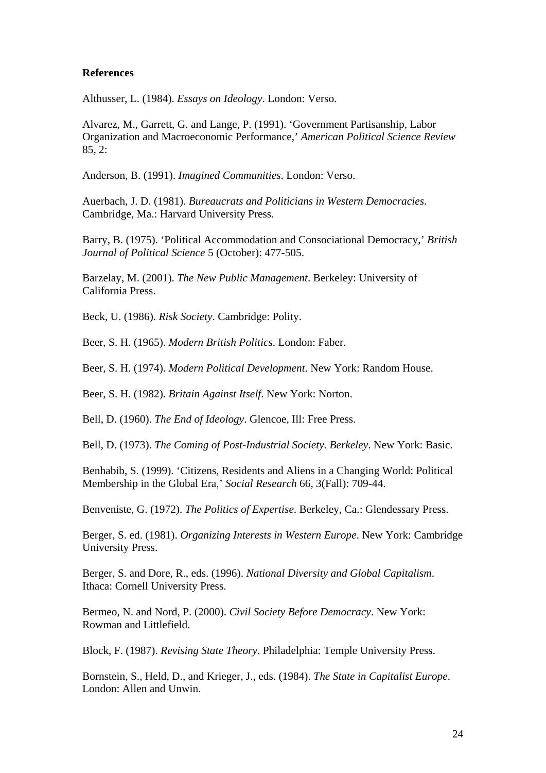### **References**

Althusser, L. (1984). *Essays on Ideology*. London: Verso.

Alvarez, M., Garrett, G. and Lange, P. (1991). 'Government Partisanship, Labor Organization and Macroeconomic Performance,' *American Political Science Review* 85, 2:

Anderson, B. (1991). *Imagined Communities*. London: Verso.

Auerbach, J. D. (1981). *Bureaucrats and Politicians in Western Democracies*. Cambridge, Ma.: Harvard University Press.

Barry, B. (1975). 'Political Accommodation and Consociational Democracy,' *British Journal of Political Science* 5 (October): 477-505.

Barzelay, M. (2001). *The New Public Management*. Berkeley: University of California Press.

Beck, U. (1986). *Risk Society*. Cambridge: Polity.

Beer, S. H. (1965). *Modern British Politics*. London: Faber.

Beer, S. H. (1974). *Modern Political Development*. New York: Random House.

Beer, S. H. (1982). *Britain Against Itself*. New York: Norton.

Bell, D. (1960). *The End of Ideology*. Glencoe, Ill: Free Press.

Bell, D. (1973). *The Coming of Post-Industrial Society. Berkeley*. New York: Basic.

Benhabib, S. (1999). 'Citizens, Residents and Aliens in a Changing World: Political Membership in the Global Era,' *Social Research* 66, 3(Fall): 709-44.

Benveniste, G. (1972). *The Politics of Expertise*. Berkeley, Ca.: Glendessary Press.

Berger, S. ed. (1981). *Organizing Interests in Western Europe*. New York: Cambridge University Press.

Berger, S. and Dore, R., eds. (1996). *National Diversity and Global Capitalism*. Ithaca: Cornell University Press.

Bermeo, N. and Nord, P. (2000). *Civil Society Before Democracy*. New York: Rowman and Littlefield.

Block, F. (1987). *Revising State Theory*. Philadelphia: Temple University Press.

Bornstein, S., Held, D., and Krieger, J., eds. (1984). *The State in Capitalist Europe*. London: Allen and Unwin.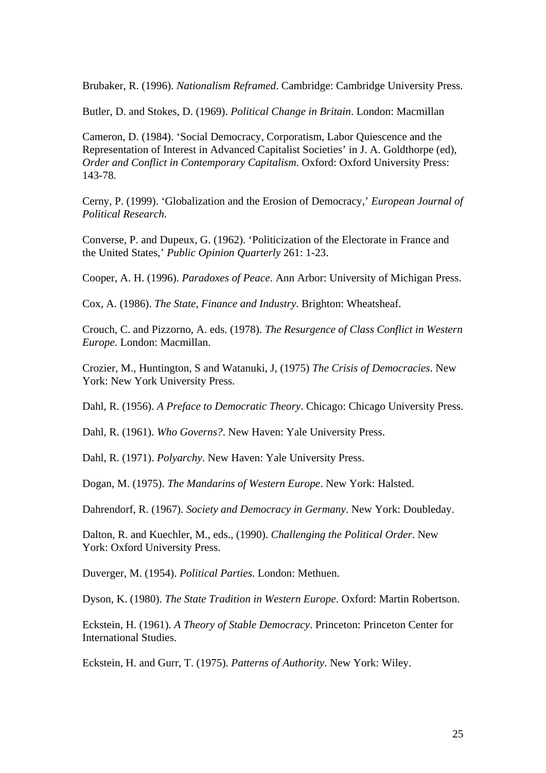Brubaker, R. (1996). *Nationalism Reframed*. Cambridge: Cambridge University Press.

Butler, D. and Stokes, D. (1969). *Political Change in Britain*. London: Macmillan

Cameron, D. (1984). 'Social Democracy, Corporatism, Labor Quiescence and the Representation of Interest in Advanced Capitalist Societies' in J. A. Goldthorpe (ed), *Order and Conflict in Contemporary Capitalism*. Oxford: Oxford University Press: 143-78.

Cerny, P. (1999). 'Globalization and the Erosion of Democracy,' *European Journal of Political Research*.

Converse, P. and Dupeux, G. (1962). 'Politicization of the Electorate in France and the United States,' *Public Opinion Quarterly* 261: 1-23.

Cooper, A. H. (1996). *Paradoxes of Peace*. Ann Arbor: University of Michigan Press.

Cox, A. (1986). *The State, Finance and Industry*. Brighton: Wheatsheaf.

Crouch, C. and Pizzorno, A. eds. (1978). *The Resurgence of Class Conflict in Western Europe*. London: Macmillan.

Crozier, M., Huntington, S and Watanuki, J, (1975) *The Crisis of Democracies*. New York: New York University Press.

Dahl, R. (1956). *A Preface to Democratic Theory*. Chicago: Chicago University Press.

Dahl, R. (1961). *Who Governs?*. New Haven: Yale University Press.

Dahl, R. (1971). *Polyarchy*. New Haven: Yale University Press.

Dogan, M. (1975). *The Mandarins of Western Europe*. New York: Halsted.

Dahrendorf, R. (1967). *Society and Democracy in Germany*. New York: Doubleday.

Dalton, R. and Kuechler, M., eds., (1990). *Challenging the Political Order*. New York: Oxford University Press.

Duverger, M. (1954). *Political Parties*. London: Methuen.

Dyson, K. (1980). *The State Tradition in Western Europe*. Oxford: Martin Robertson.

Eckstein, H. (1961). *A Theory of Stable Democracy*. Princeton: Princeton Center for International Studies.

Eckstein, H. and Gurr, T. (1975). *Patterns of Authority*. New York: Wiley.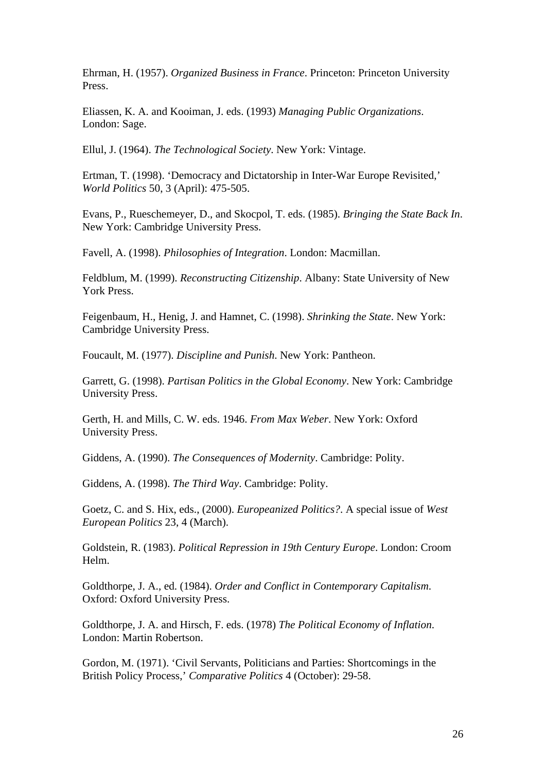Ehrman, H. (1957). *Organized Business in France*. Princeton: Princeton University Press.

Eliassen, K. A. and Kooiman, J. eds. (1993) *Managing Public Organizations*. London: Sage.

Ellul, J. (1964). *The Technological Society*. New York: Vintage.

Ertman, T. (1998). 'Democracy and Dictatorship in Inter-War Europe Revisited,' *World Politics* 50, 3 (April): 475-505.

Evans, P., Rueschemeyer, D., and Skocpol, T. eds. (1985). *Bringing the State Back In*. New York: Cambridge University Press.

Favell, A. (1998). *Philosophies of Integration*. London: Macmillan.

Feldblum, M. (1999). *Reconstructing Citizenship*. Albany: State University of New York Press.

Feigenbaum, H., Henig, J. and Hamnet, C. (1998). *Shrinking the State*. New York: Cambridge University Press.

Foucault, M. (1977). *Discipline and Punish*. New York: Pantheon.

Garrett, G. (1998). *Partisan Politics in the Global Economy*. New York: Cambridge University Press.

Gerth, H. and Mills, C. W. eds. 1946. *From Max Weber*. New York: Oxford University Press.

Giddens, A. (1990). *The Consequences of Modernity*. Cambridge: Polity.

Giddens, A. (1998). *The Third Way*. Cambridge: Polity.

Goetz, C. and S. Hix, eds., (2000). *Europeanized Politics?*. A special issue of *West European Politics* 23, 4 (March).

Goldstein, R. (1983). *Political Repression in 19th Century Europe*. London: Croom Helm.

Goldthorpe, J. A., ed. (1984). *Order and Conflict in Contemporary Capitalism*. Oxford: Oxford University Press.

Goldthorpe, J. A. and Hirsch, F. eds. (1978) *The Political Economy of Inflation*. London: Martin Robertson.

Gordon, M. (1971). 'Civil Servants, Politicians and Parties: Shortcomings in the British Policy Process,' *Comparative Politics* 4 (October): 29-58.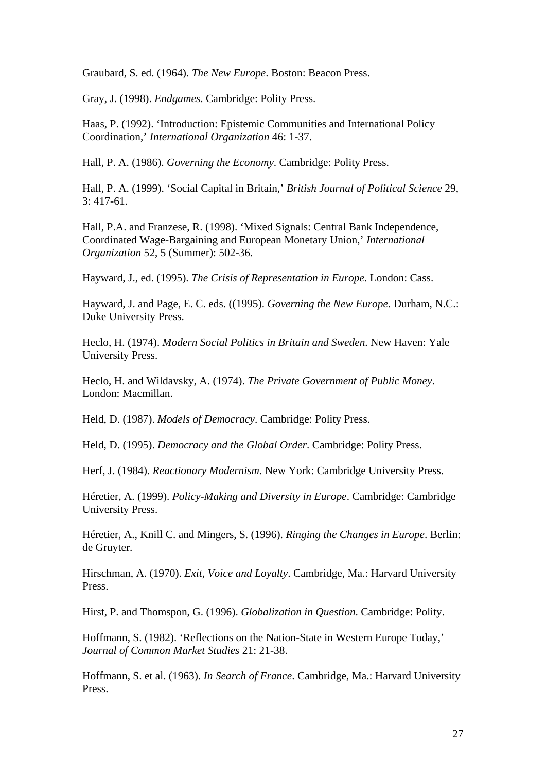Graubard, S. ed. (1964). *The New Europe*. Boston: Beacon Press.

Gray, J. (1998). *Endgames*. Cambridge: Polity Press.

Haas, P. (1992). 'Introduction: Epistemic Communities and International Policy Coordination,' *International Organization* 46: 1-37.

Hall, P. A. (1986). *Governing the Economy*. Cambridge: Polity Press.

Hall, P. A. (1999). 'Social Capital in Britain,' *British Journal of Political Science* 29,  $3: 417 - 61$ .

Hall, P.A. and Franzese, R. (1998). 'Mixed Signals: Central Bank Independence, Coordinated Wage-Bargaining and European Monetary Union,' *International Organization* 52, 5 (Summer): 502-36.

Hayward, J., ed. (1995). *The Crisis of Representation in Europe*. London: Cass.

Hayward, J. and Page, E. C. eds. ((1995). *Governing the New Europe*. Durham, N.C.: Duke University Press.

Heclo, H. (1974). *Modern Social Politics in Britain and Sweden*. New Haven: Yale University Press.

Heclo, H. and Wildavsky, A. (1974). *The Private Government of Public Money*. London: Macmillan.

Held, D. (1987). *Models of Democracy*. Cambridge: Polity Press.

Held, D. (1995). *Democracy and the Global Order*. Cambridge: Polity Press.

Herf, J. (1984). *Reactionary Modernism.* New York: Cambridge University Press.

Héretier, A. (1999). *Policy-Making and Diversity in Europe*. Cambridge: Cambridge University Press.

Héretier, A., Knill C. and Mingers, S. (1996). *Ringing the Changes in Europe*. Berlin: de Gruyter.

Hirschman, A. (1970). *Exit, Voice and Loyalty*. Cambridge, Ma.: Harvard University Press.

Hirst, P. and Thomspon, G. (1996). *Globalization in Question*. Cambridge: Polity.

Hoffmann, S. (1982). 'Reflections on the Nation-State in Western Europe Today,' *Journal of Common Market Studies* 21: 21-38.

Hoffmann, S. et al. (1963). *In Search of France*. Cambridge, Ma.: Harvard University Press.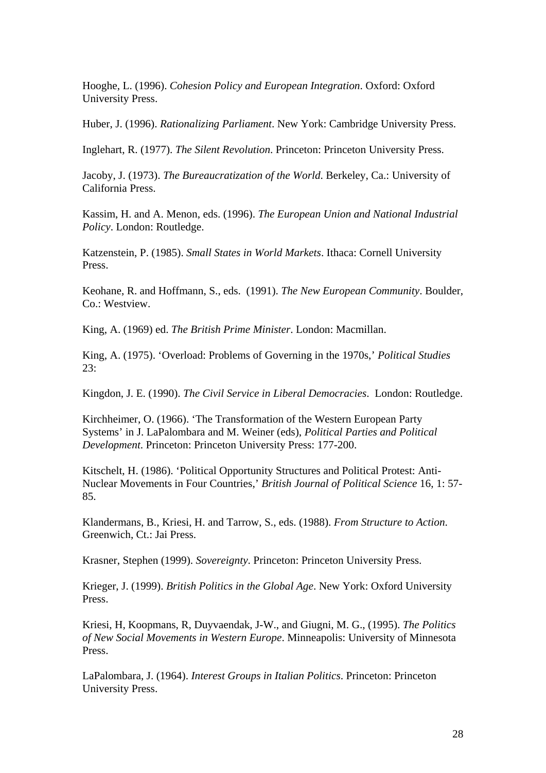Hooghe, L. (1996). *Cohesion Policy and European Integration*. Oxford: Oxford University Press.

Huber, J. (1996). *Rationalizing Parliament*. New York: Cambridge University Press.

Inglehart, R. (1977). *The Silent Revolution*. Princeton: Princeton University Press.

Jacoby, J. (1973). *The Bureaucratization of the World*. Berkeley, Ca.: University of California Press.

Kassim, H. and A. Menon, eds. (1996). *The European Union and National Industrial Policy*. London: Routledge.

Katzenstein, P. (1985). *Small States in World Markets*. Ithaca: Cornell University Press.

Keohane, R. and Hoffmann, S., eds. (1991). *The New European Community*. Boulder, Co.: Westview.

King, A. (1969) ed. *The British Prime Minister*. London: Macmillan.

King, A. (1975). 'Overload: Problems of Governing in the 1970s,' *Political Studies*  $23:$ 

Kingdon, J. E. (1990). *The Civil Service in Liberal Democracies*. London: Routledge.

Kirchheimer, O. (1966). 'The Transformation of the Western European Party Systems' in J. LaPalombara and M. Weiner (eds), *Political Parties and Political Development*. Princeton: Princeton University Press: 177-200.

Kitschelt, H. (1986). 'Political Opportunity Structures and Political Protest: Anti-Nuclear Movements in Four Countries,' *British Journal of Political Science* 16, 1: 57- 85.

Klandermans, B., Kriesi, H. and Tarrow, S., eds. (1988). *From Structure to Action*. Greenwich, Ct.: Jai Press.

Krasner, Stephen (1999). *Sovereignty*. Princeton: Princeton University Press.

Krieger, J. (1999). *British Politics in the Global Age*. New York: Oxford University Press.

Kriesi, H, Koopmans, R, Duyvaendak, J-W., and Giugni, M. G., (1995). *The Politics of New Social Movements in Western Europe*. Minneapolis: University of Minnesota Press.

LaPalombara, J. (1964). *Interest Groups in Italian Politics*. Princeton: Princeton University Press.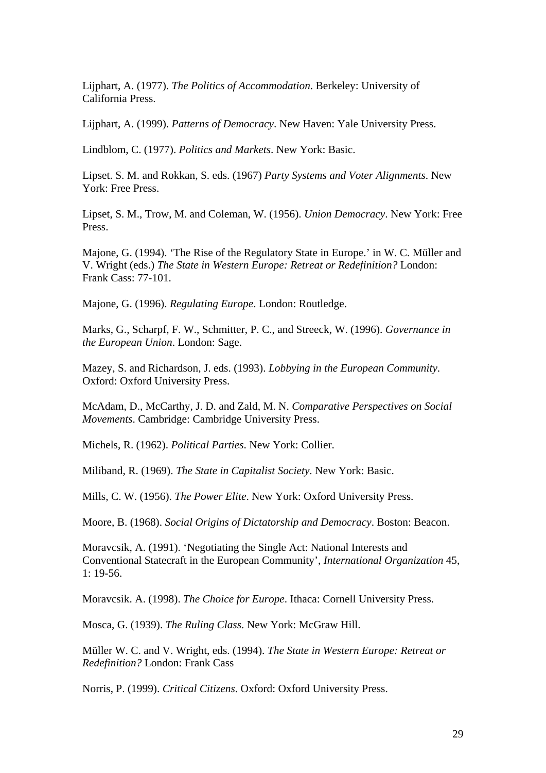Lijphart, A. (1977). *The Politics of Accommodation*. Berkeley: University of California Press.

Lijphart, A. (1999). *Patterns of Democracy*. New Haven: Yale University Press.

Lindblom, C. (1977). *Politics and Markets*. New York: Basic.

Lipset. S. M. and Rokkan, S. eds. (1967) *Party Systems and Voter Alignments*. New York: Free Press.

Lipset, S. M., Trow, M. and Coleman, W. (1956). *Union Democracy*. New York: Free Press.

Majone, G. (1994). 'The Rise of the Regulatory State in Europe.' in W. C. Müller and V. Wright (eds.) *The State in Western Europe: Retreat or Redefinition?* London: Frank Cass: 77-101.

Majone, G. (1996). *Regulating Europe*. London: Routledge.

Marks, G., Scharpf, F. W., Schmitter, P. C., and Streeck, W. (1996). *Governance in the European Union*. London: Sage.

Mazey, S. and Richardson, J. eds. (1993). *Lobbying in the European Community*. Oxford: Oxford University Press.

McAdam, D., McCarthy, J. D. and Zald, M. N. *Comparative Perspectives on Social Movements*. Cambridge: Cambridge University Press.

Michels, R. (1962). *Political Parties*. New York: Collier.

Miliband, R. (1969). *The State in Capitalist Society*. New York: Basic.

Mills, C. W. (1956). *The Power Elite*. New York: Oxford University Press.

Moore, B. (1968). *Social Origins of Dictatorship and Democracy*. Boston: Beacon.

Moravcsik, A. (1991). 'Negotiating the Single Act: National Interests and Conventional Statecraft in the European Community', *International Organization* 45, 1: 19-56.

Moravcsik. A. (1998). *The Choice for Europe*. Ithaca: Cornell University Press.

Mosca, G. (1939). *The Ruling Class*. New York: McGraw Hill.

Müller W. C. and V. Wright, eds. (1994). *The State in Western Europe: Retreat or Redefinition?* London: Frank Cass

Norris, P. (1999). *Critical Citizens*. Oxford: Oxford University Press.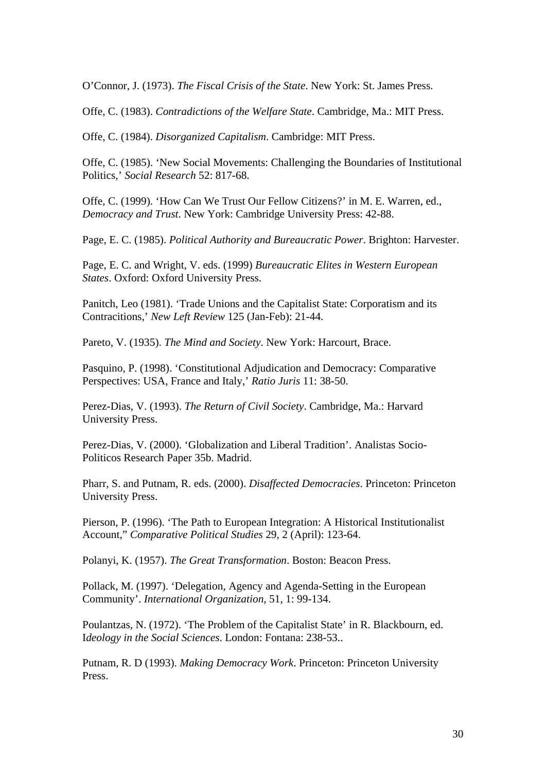O'Connor, J. (1973). *The Fiscal Crisis of the State*. New York: St. James Press.

Offe, C. (1983). *Contradictions of the Welfare State*. Cambridge, Ma.: MIT Press.

Offe, C. (1984). *Disorganized Capitalism*. Cambridge: MIT Press.

Offe, C. (1985). 'New Social Movements: Challenging the Boundaries of Institutional Politics,' *Social Research* 52: 817-68.

Offe, C. (1999). 'How Can We Trust Our Fellow Citizens?' in M. E. Warren, ed., *Democracy and Trust*. New York: Cambridge University Press: 42-88.

Page, E. C. (1985). *Political Authority and Bureaucratic Power*. Brighton: Harvester.

Page, E. C. and Wright, V. eds. (1999) *Bureaucratic Elites in Western European States*. Oxford: Oxford University Press.

Panitch, Leo (1981). 'Trade Unions and the Capitalist State: Corporatism and its Contracitions,' *New Left Review* 125 (Jan-Feb): 21-44.

Pareto, V. (1935). *The Mind and Society*. New York: Harcourt, Brace.

Pasquino, P. (1998). 'Constitutional Adjudication and Democracy: Comparative Perspectives: USA, France and Italy,' *Ratio Juris* 11: 38-50.

Perez-Dias, V. (1993). *The Return of Civil Society*. Cambridge, Ma.: Harvard University Press.

Perez-Dias, V. (2000). 'Globalization and Liberal Tradition'. Analistas Socio-Politicos Research Paper 35b. Madrid.

Pharr, S. and Putnam, R. eds. (2000). *Disaffected Democracies*. Princeton: Princeton University Press.

Pierson, P. (1996). 'The Path to European Integration: A Historical Institutionalist Account," *Comparative Political Studies* 29, 2 (April): 123-64.

Polanyi, K. (1957). *The Great Transformation*. Boston: Beacon Press.

Pollack, M. (1997). 'Delegation, Agency and Agenda-Setting in the European Community'. *International Organization*, 51, 1: 99-134.

Poulantzas, N. (1972). 'The Problem of the Capitalist State' in R. Blackbourn, ed. I*deology in the Social Sciences*. London: Fontana: 238-53..

Putnam, R. D (1993). *Making Democracy Work*. Princeton: Princeton University Press.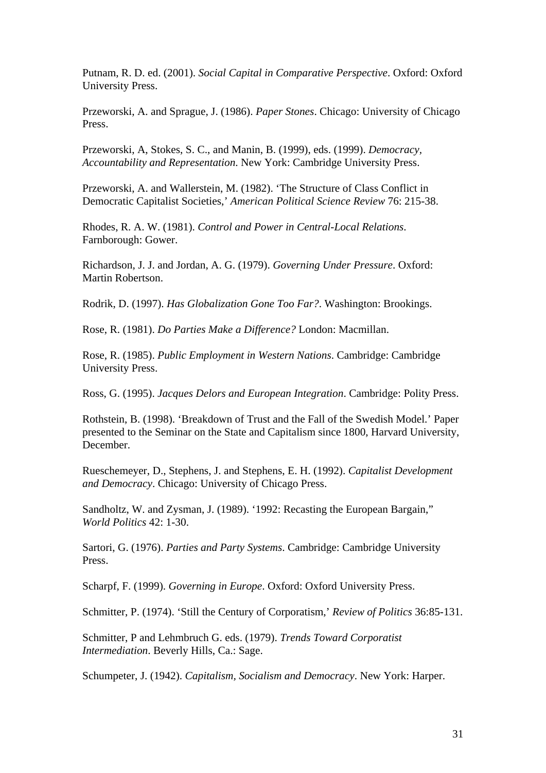Putnam, R. D. ed. (2001). *Social Capital in Comparative Perspective*. Oxford: Oxford University Press.

Przeworski, A. and Sprague, J. (1986). *Paper Stones*. Chicago: University of Chicago Press.

Przeworski, A, Stokes, S. C., and Manin, B. (1999), eds. (1999). *Democracy, Accountability and Representation*. New York: Cambridge University Press.

Przeworski, A. and Wallerstein, M. (1982). 'The Structure of Class Conflict in Democratic Capitalist Societies,' *American Political Science Review* 76: 215-38.

Rhodes, R. A. W. (1981). *Control and Power in Central-Local Relations*. Farnborough: Gower.

Richardson, J. J. and Jordan, A. G. (1979). *Governing Under Pressure*. Oxford: Martin Robertson.

Rodrik, D. (1997). *Has Globalization Gone Too Far?*. Washington: Brookings.

Rose, R. (1981). *Do Parties Make a Difference?* London: Macmillan.

Rose, R. (1985). *Public Employment in Western Nations*. Cambridge: Cambridge University Press.

Ross, G. (1995). *Jacques Delors and European Integration*. Cambridge: Polity Press.

Rothstein, B. (1998). 'Breakdown of Trust and the Fall of the Swedish Model.' Paper presented to the Seminar on the State and Capitalism since 1800, Harvard University, December.

Rueschemeyer, D., Stephens, J. and Stephens, E. H. (1992). *Capitalist Development and Democracy*. Chicago: University of Chicago Press.

Sandholtz, W. and Zysman, J. (1989). '1992: Recasting the European Bargain," *World Politics* 42: 1-30.

Sartori, G. (1976). *Parties and Party Systems*. Cambridge: Cambridge University Press.

Scharpf, F. (1999). *Governing in Europe*. Oxford: Oxford University Press.

Schmitter, P. (1974). 'Still the Century of Corporatism,' *Review of Politics* 36:85-131.

Schmitter, P and Lehmbruch G. eds. (1979). *Trends Toward Corporatist Intermediation*. Beverly Hills, Ca.: Sage.

Schumpeter, J. (1942). *Capitalism, Socialism and Democracy*. New York: Harper.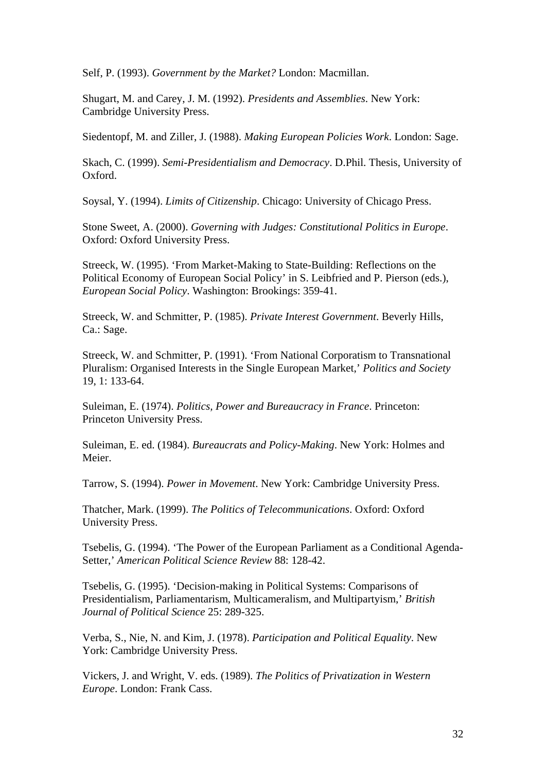Self, P. (1993). *Government by the Market?* London: Macmillan.

Shugart, M. and Carey, J. M. (1992). *Presidents and Assemblies*. New York: Cambridge University Press.

Siedentopf, M. and Ziller, J. (1988). *Making European Policies Work*. London: Sage.

Skach, C. (1999). *Semi-Presidentialism and Democracy*. D.Phil. Thesis, University of Oxford.

Soysal, Y. (1994). *Limits of Citizenship*. Chicago: University of Chicago Press.

Stone Sweet, A. (2000). *Governing with Judges: Constitutional Politics in Europe*. Oxford: Oxford University Press.

Streeck, W. (1995). 'From Market-Making to State-Building: Reflections on the Political Economy of European Social Policy' in S. Leibfried and P. Pierson (eds.), *European Social Policy*. Washington: Brookings: 359-41.

Streeck, W. and Schmitter, P. (1985). *Private Interest Government*. Beverly Hills, Ca.: Sage.

Streeck, W. and Schmitter, P. (1991). 'From National Corporatism to Transnational Pluralism: Organised Interests in the Single European Market,' *Politics and Society* 19, 1: 133-64.

Suleiman, E. (1974). *Politics, Power and Bureaucracy in France*. Princeton: Princeton University Press.

Suleiman, E. ed. (1984). *Bureaucrats and Policy-Making*. New York: Holmes and Meier.

Tarrow, S. (1994). *Power in Movement*. New York: Cambridge University Press.

Thatcher, Mark. (1999). *The Politics of Telecommunications*. Oxford: Oxford University Press.

Tsebelis, G. (1994). 'The Power of the European Parliament as a Conditional Agenda-Setter,' *American Political Science Review* 88: 128-42.

Tsebelis, G. (1995). 'Decision-making in Political Systems: Comparisons of Presidentialism, Parliamentarism, Multicameralism, and Multipartyism,' *British Journal of Political Science* 25: 289-325.

Verba, S., Nie, N. and Kim, J. (1978). *Participation and Political Equality*. New York: Cambridge University Press.

Vickers, J. and Wright, V. eds. (1989). *The Politics of Privatization in Western Europe*. London: Frank Cass.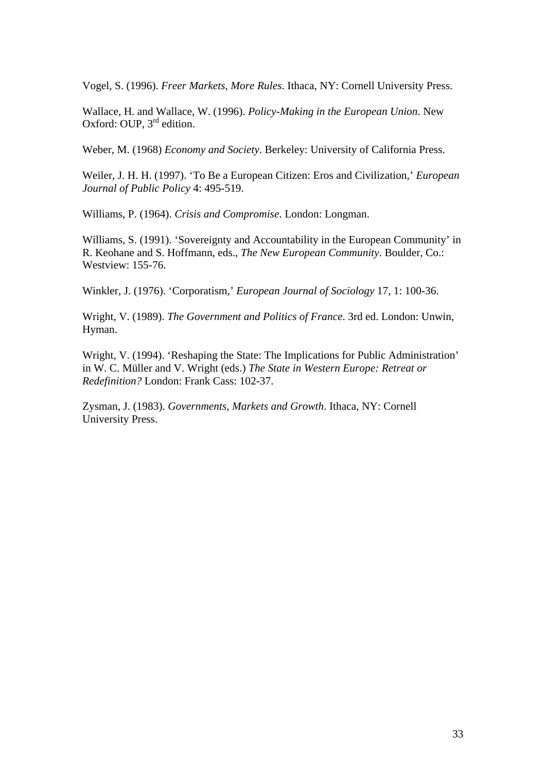Vogel, S. (1996). *Freer Markets, More Rules*. Ithaca, NY: Cornell University Press.

Wallace, H. and Wallace, W. (1996). *Policy-Making in the European Union*. New Oxford: OUP, 3<sup>rd</sup> edition.

Weber, M. (1968) *Economy and Society*. Berkeley: University of California Press.

Weiler, J. H. H. (1997). 'To Be a European Citizen: Eros and Civilization,' *European Journal of Public Policy* 4: 495-519.

Williams, P. (1964). *Crisis and Compromise*. London: Longman.

Williams, S. (1991). 'Sovereignty and Accountability in the European Community' in R. Keohane and S. Hoffmann, eds., *The New European Community*. Boulder, Co.: Westview: 155-76.

Winkler, J. (1976). 'Corporatism,' *European Journal of Sociology* 17, 1: 100-36.

Wright, V. (1989). *The Government and Politics of France*. 3rd ed. London: Unwin, Hyman.

Wright, V. (1994). 'Reshaping the State: The Implications for Public Administration' in W. C. Müller and V. Wright (eds.) *The State in Western Europe: Retreat or Redefinition?* London: Frank Cass: 102-37.

Zysman, J. (1983). *Governments, Markets and Growth*. Ithaca, NY: Cornell University Press.